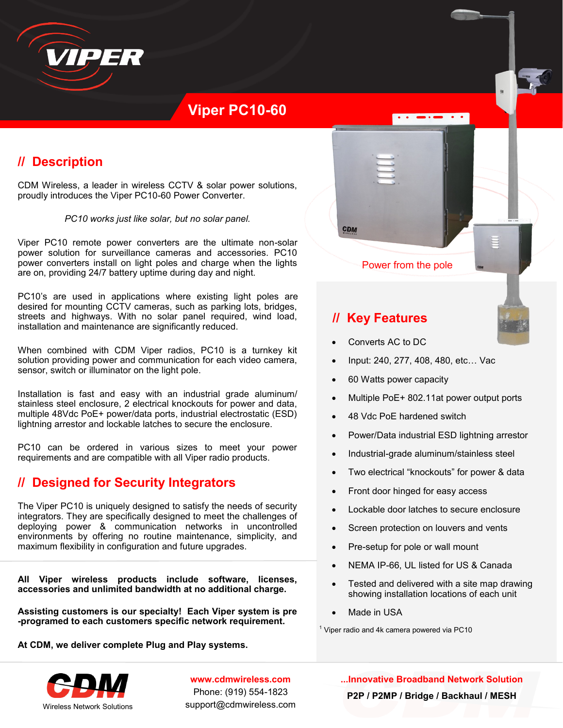

# **Viper PC10-60**

# **// Description**

CDM Wireless, a leader in wireless CCTV & solar power solutions, proudly introduces the Viper PC10-60 Power Converter.

*PC10 works just like solar, but no solar panel.* 

Viper PC10 remote power converters are the ultimate non-solar power solution for surveillance cameras and accessories. PC10 power converters install on light poles and charge when the lights are on, providing 24/7 battery uptime during day and night.

PC10's are used in applications where existing light poles are desired for mounting CCTV cameras, such as parking lots, bridges, streets and highways. With no solar panel required, wind load, installation and maintenance are significantly reduced.

When combined with CDM Viper radios, PC10 is a turnkey kit solution providing power and communication for each video camera, sensor, switch or illuminator on the light pole.

Installation is fast and easy with an industrial grade aluminum/ stainless steel enclosure, 2 electrical knockouts for power and data, multiple 48Vdc PoE+ power/data ports, industrial electrostatic (ESD) lightning arrestor and lockable latches to secure the enclosure.

PC10 can be ordered in various sizes to meet your power requirements and are compatible with all Viper radio products.

### **// Designed for Security Integrators**

The Viper PC10 is uniquely designed to satisfy the needs of security integrators. They are specifically designed to meet the challenges of deploying power & communication networks in uncontrolled environments by offering no routine maintenance, simplicity, and maximum flexibility in configuration and future upgrades.

**All Viper wireless products include software, licenses, accessories and unlimited bandwidth at no additional charge.**

**Assisting customers is our specialty! Each Viper system is pre -programed to each customers specific network requirement.** 

**At CDM, we deliver complete Plug and Play systems.**



**www.cdmwireless.com** Phone: (919) 554-1823 support@cdmwireless.com Power from the pole

 $\overline{\cdot}$ 

## **// Key Features**

CDM

- Converts AC to DC
- Input: 240, 277, 408, 480, etc… Vac
- 60 Watts power capacity
- Multiple PoE+ 802.11at power output ports
- 48 Vdc PoE hardened switch
- Power/Data industrial ESD lightning arrestor
- Industrial-grade aluminum/stainless steel
- Two electrical "knockouts" for power & data
- Front door hinged for easy access
- Lockable door latches to secure enclosure
- Screen protection on louvers and vents
- Pre-setup for pole or wall mount
- NEMA IP-66, UL listed for US & Canada
- Tested and delivered with a site map drawing showing installation locations of each unit
- Made in USA

 $1$  Viper radio and 4k camera powered via PC10

**...Innovative Broadband Network Solution P2P / P2MP / Bridge / Backhaul / MESH**